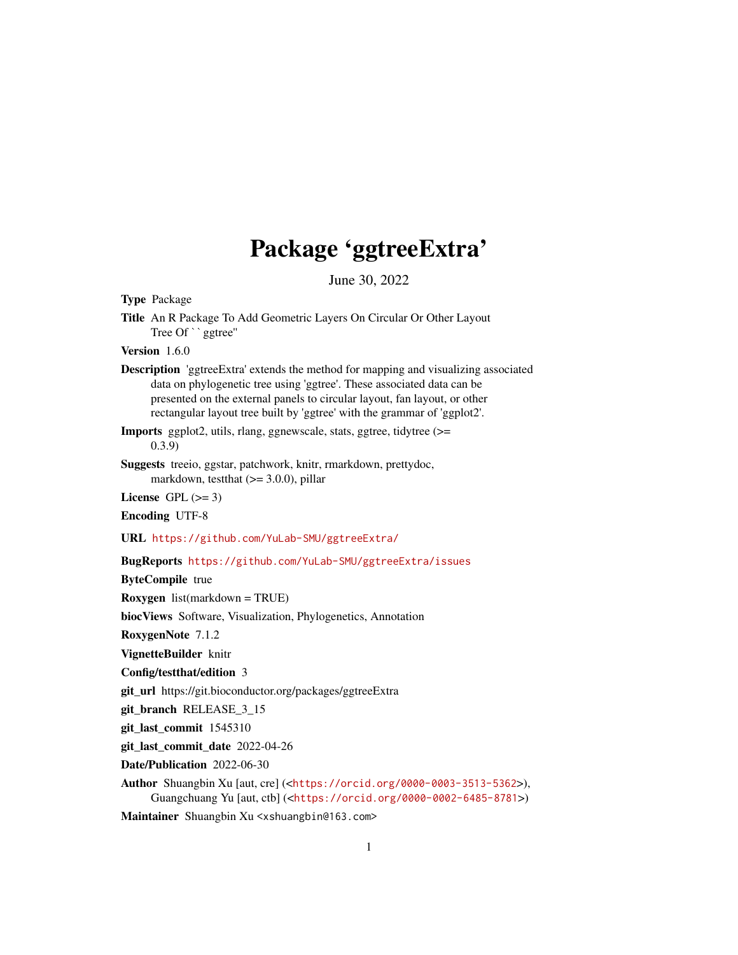# Package 'ggtreeExtra'

June 30, 2022

Type Package

<span id="page-0-0"></span>Title An R Package To Add Geometric Layers On Circular Or Other Layout Package<br>An R Package To<br>Tree Of ``ggtree''

Version 1.6.0

Description 'ggtreeExtra' extends the method for mapping and visualizing associated data on phylogenetic tree using 'ggtree'. These associated data can be presented on the external panels to circular layout, fan layout, or other rectangular layout tree built by 'ggtree' with the grammar of 'ggplot2'.

Imports ggplot2, utils, rlang, ggnewscale, stats, ggtree, tidytree (>= 0.3.9)

Suggests treeio, ggstar, patchwork, knitr, rmarkdown, prettydoc, markdown, testthat  $(>= 3.0.0)$ , pillar

License GPL  $(>= 3)$ 

Encoding UTF-8

URL <https://github.com/YuLab-SMU/ggtreeExtra/>

BugReports <https://github.com/YuLab-SMU/ggtreeExtra/issues>

ByteCompile true

Roxygen list(markdown = TRUE)

biocViews Software, Visualization, Phylogenetics, Annotation

RoxygenNote 7.1.2

VignetteBuilder knitr

Config/testthat/edition 3

git\_url https://git.bioconductor.org/packages/ggtreeExtra

git\_branch RELEASE\_3\_15

git\_last\_commit 1545310

git\_last\_commit\_date 2022-04-26

Date/Publication 2022-06-30

Author Shuangbin Xu [aut, cre] (<<https://orcid.org/0000-0003-3513-5362>>), Guangchuang Yu [aut, ctb] (<<https://orcid.org/0000-0002-6485-8781>>)

Maintainer Shuangbin Xu <xshuangbin@163.com>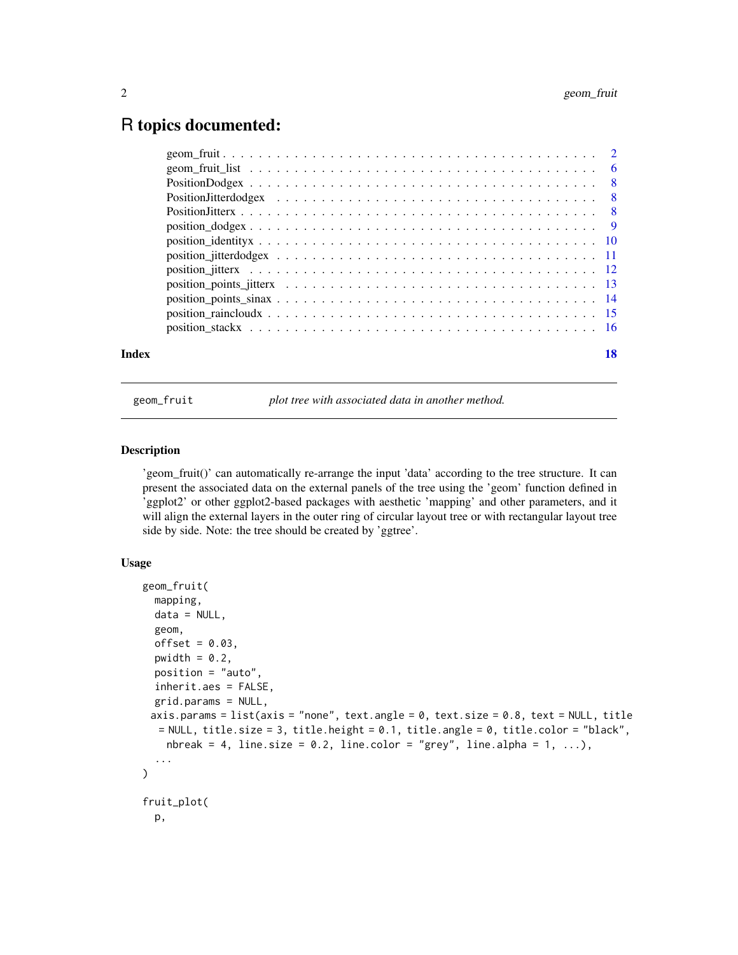# <span id="page-1-0"></span>R topics documented:

| Index | 18 |
|-------|----|

geom\_fruit *plot tree with associated data in another method.*

#### Description

'geom\_fruit()' can automatically re-arrange the input 'data' according to the tree structure. It can present the associated data on the external panels of the tree using the 'geom' function defined in 'ggplot2' or other ggplot2-based packages with aesthetic 'mapping' and other parameters, and it will align the external layers in the outer ring of circular layout tree or with rectangular layout tree side by side. Note: the tree should be created by 'ggtree'.

#### Usage

```
geom_fruit(
 mapping,
 data = NULL,geom,
 offset = 0.03,pwidth = 0.2,
 position = "auto",
  inherit.aes = FALSE,
  grid.params = NULL,
 axis.params = list(axis = "none", text.angle = 0, text.size = 0.8, text = NULL, title
  = NULL, title.size = 3, title.height = 0.1, title.angle = 0, title.color = "black",
    nbreak = 4, line.size = 0.2, line.color = "grey", line.alpha = 1, ...),
  ...
\lambdafruit_plot(
 p,
```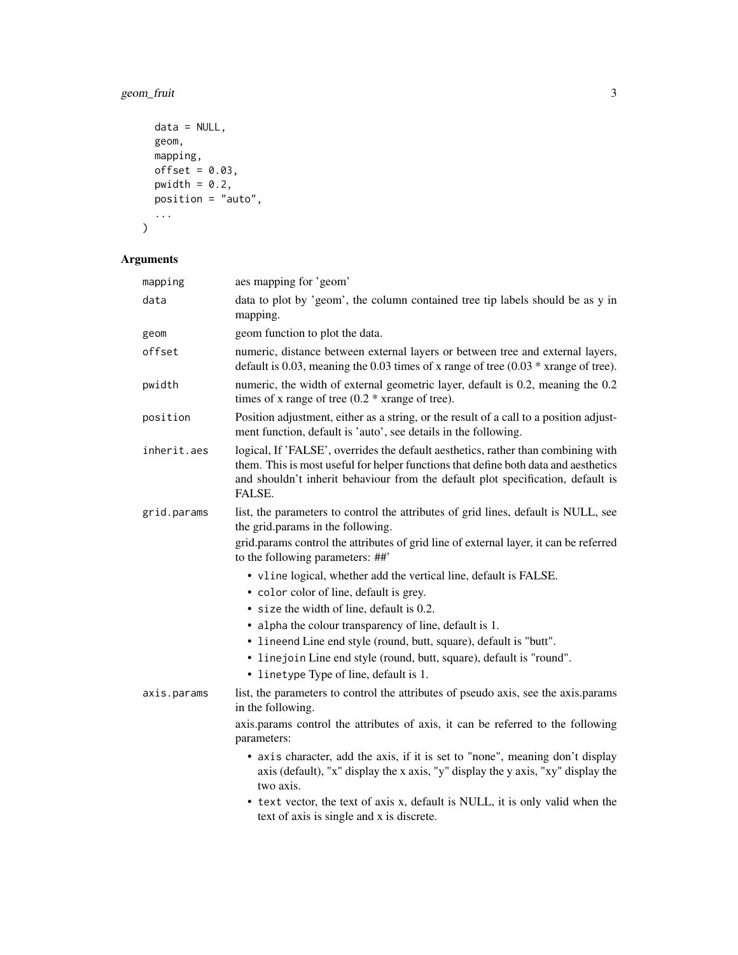# geom\_fruit 3

```
data = NULL,geom,
  mapping,
  offset = 0.03,
  pwidth = 0.2,
  position = "auto",
   ...
\overline{\phantom{a}}
```
# Arguments

| mapping     | aes mapping for 'geom'                                                                                                                                                                                                                                                                                                                                                                                                                                                                                                                                                                                    |
|-------------|-----------------------------------------------------------------------------------------------------------------------------------------------------------------------------------------------------------------------------------------------------------------------------------------------------------------------------------------------------------------------------------------------------------------------------------------------------------------------------------------------------------------------------------------------------------------------------------------------------------|
| data        | data to plot by 'geom', the column contained tree tip labels should be as y in<br>mapping.                                                                                                                                                                                                                                                                                                                                                                                                                                                                                                                |
| geom        | geom function to plot the data.                                                                                                                                                                                                                                                                                                                                                                                                                                                                                                                                                                           |
| offset      | numeric, distance between external layers or between tree and external layers,<br>default is 0.03, meaning the 0.03 times of x range of tree $(0.03 * x$ arange of tree).                                                                                                                                                                                                                                                                                                                                                                                                                                 |
| pwidth      | numeric, the width of external geometric layer, default is 0.2, meaning the 0.2<br>times of x range of tree $(0.2 * x$ range of tree).                                                                                                                                                                                                                                                                                                                                                                                                                                                                    |
| position    | Position adjustment, either as a string, or the result of a call to a position adjust-<br>ment function, default is 'auto', see details in the following.                                                                                                                                                                                                                                                                                                                                                                                                                                                 |
| inherit.aes | logical, If 'FALSE', overrides the default aesthetics, rather than combining with<br>them. This is most useful for helper functions that define both data and aesthetics<br>and shouldn't inherit behaviour from the default plot specification, default is<br>FALSE.                                                                                                                                                                                                                                                                                                                                     |
| grid.params | list, the parameters to control the attributes of grid lines, default is NULL, see<br>the grid.params in the following.<br>grid.params control the attributes of grid line of external layer, it can be referred<br>to the following parameters: ##'                                                                                                                                                                                                                                                                                                                                                      |
| axis.params | • vline logical, whether add the vertical line, default is FALSE.<br>• color color of line, default is grey.<br>• size the width of line, default is 0.2.<br>• alpha the colour transparency of line, default is 1.<br>• lineend Line end style (round, butt, square), default is "butt".<br>• linejoin Line end style (round, butt, square), default is "round".<br>• linetype Type of line, default is 1.<br>list, the parameters to control the attributes of pseudo axis, see the axis.params<br>in the following.<br>axis.params control the attributes of axis, it can be referred to the following |
|             | parameters:<br>• axis character, add the axis, if it is set to "none", meaning don't display<br>axis (default), "x" display the x axis, "y" display the y axis, "xy" display the<br>two axis.<br>• text vector, the text of axis x, default is NULL, it is only valid when the<br>text of axis is single and x is discrete.                                                                                                                                                                                                                                                                               |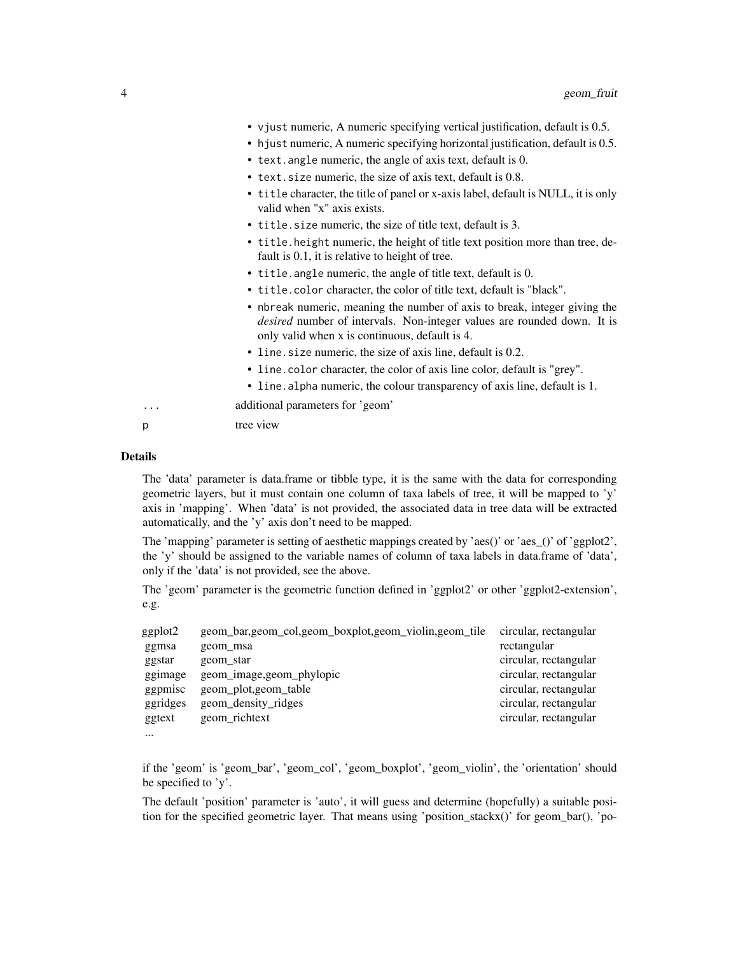|   | • vjust numeric, A numeric specifying vertical justification, default is 0.5.<br>• hjust numeric, A numeric specifying horizontal justification, default is 0.5.<br>• text. angle numeric, the angle of axis text, default is 0.<br>• text. size numeric, the size of axis text, default is 0.8.<br>• title character, the title of panel or x-axis label, default is NULL, it is only<br>valid when "x" axis exists. |
|---|-----------------------------------------------------------------------------------------------------------------------------------------------------------------------------------------------------------------------------------------------------------------------------------------------------------------------------------------------------------------------------------------------------------------------|
|   | • title. size numeric, the size of title text, default is 3.                                                                                                                                                                                                                                                                                                                                                          |
|   | • title. height numeric, the height of title text position more than tree, de-<br>fault is 0.1, it is relative to height of tree.                                                                                                                                                                                                                                                                                     |
|   | • title. angle numeric, the angle of title text, default is 0.                                                                                                                                                                                                                                                                                                                                                        |
|   | • title.color character, the color of title text, default is "black".                                                                                                                                                                                                                                                                                                                                                 |
|   | • nbreak numeric, meaning the number of axis to break, integer giving the<br><i>desired</i> number of intervals. Non-integer values are rounded down. It is<br>only valid when x is continuous, default is 4.                                                                                                                                                                                                         |
|   | • line size numeric, the size of axis line, default is 0.2.                                                                                                                                                                                                                                                                                                                                                           |
|   | • line.color character, the color of axis line color, default is "grey".                                                                                                                                                                                                                                                                                                                                              |
|   | • line. alpha numeric, the colour transparency of axis line, default is 1.                                                                                                                                                                                                                                                                                                                                            |
| . | additional parameters for 'geom'                                                                                                                                                                                                                                                                                                                                                                                      |
| р | tree view                                                                                                                                                                                                                                                                                                                                                                                                             |

#### Details

...

The 'data' parameter is data.frame or tibble type, it is the same with the data for corresponding geometric layers, but it must contain one column of taxa labels of tree, it will be mapped to 'y' axis in 'mapping'. When 'data' is not provided, the associated data in tree data will be extracted automatically, and the 'y' axis don't need to be mapped.

The 'mapping' parameter is setting of aesthetic mappings created by 'aes()' or 'aes\_()' of 'ggplot2', the 'y' should be assigned to the variable names of column of taxa labels in data.frame of 'data', only if the 'data' is not provided, see the above.

The 'geom' parameter is the geometric function defined in 'ggplot2' or other 'ggplot2-extension', e.g.

| geom_bar,geom_col,geom_boxplot,geom_violin,geom_tile | circular, rectangular |
|------------------------------------------------------|-----------------------|
| geom_msa                                             | rectangular           |
| geom_star                                            | circular, rectangular |
| geom_image,geom_phylopic                             | circular, rectangular |
| geom_plot,geom_table                                 | circular, rectangular |
| geom_density_ridges                                  | circular, rectangular |
| geom_richtext                                        | circular, rectangular |
|                                                      |                       |

if the 'geom' is 'geom\_bar', 'geom\_col', 'geom\_boxplot', 'geom\_violin', the 'orientation' should be specified to 'y'.

The default 'position' parameter is 'auto', it will guess and determine (hopefully) a suitable position for the specified geometric layer. That means using 'position\_stackx()' for geom\_bar(), 'po-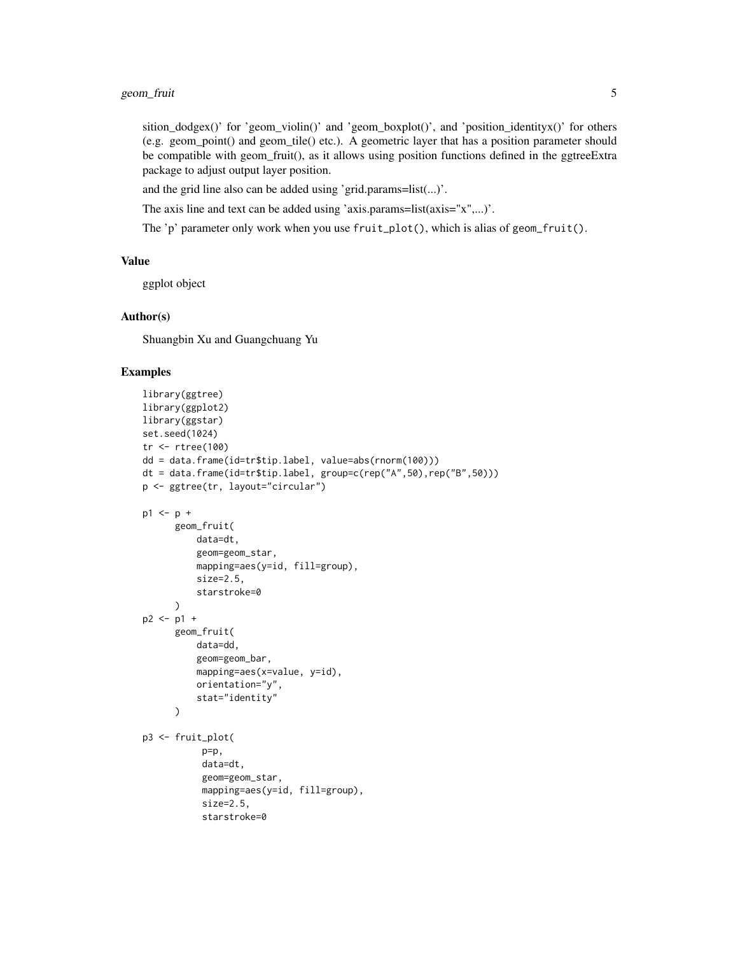# geom\_fruit 5

sition\_dodgex()' for 'geom\_violin()' and 'geom\_boxplot()', and 'position\_identityx()' for others (e.g. geom\_point() and geom\_tile() etc.). A geometric layer that has a position parameter should be compatible with geom\_fruit(), as it allows using position functions defined in the ggtreeExtra package to adjust output layer position.

and the grid line also can be added using 'grid.params=list(...)'.

The axis line and text can be added using 'axis.params=list(axis="x",...)'.

The 'p' parameter only work when you use  $fruit\_plot()$ , which is alias of geom\_fruit().

#### Value

ggplot object

#### Author(s)

Shuangbin Xu and Guangchuang Yu

#### Examples

```
library(ggtree)
library(ggplot2)
library(ggstar)
set.seed(1024)
tr <- rtree(100)
dd = data.frame(id=tr$tip.label, value=abs(rnorm(100)))
dt = data.frame(id=tr$tip.label, group=c(rep("A",50),rep("B",50)))
p <- ggtree(tr, layout="circular")
p1 \le p +geom_fruit(
          data=dt,
          geom=geom_star,
          mapping=aes(y=id, fill=group),
          size=2.5,
          starstroke=0
      \lambdap2 <- p1 +
      geom_fruit(
          data=dd,
          geom=geom_bar,
          mapping=aes(x=value, y=id),
          orientation="y",
          stat="identity"
      \lambdap3 <- fruit_plot(
           p=p,
           data=dt,
           geom=geom_star,
           mapping=aes(y=id, fill=group),
           size=2.5,
           starstroke=0
```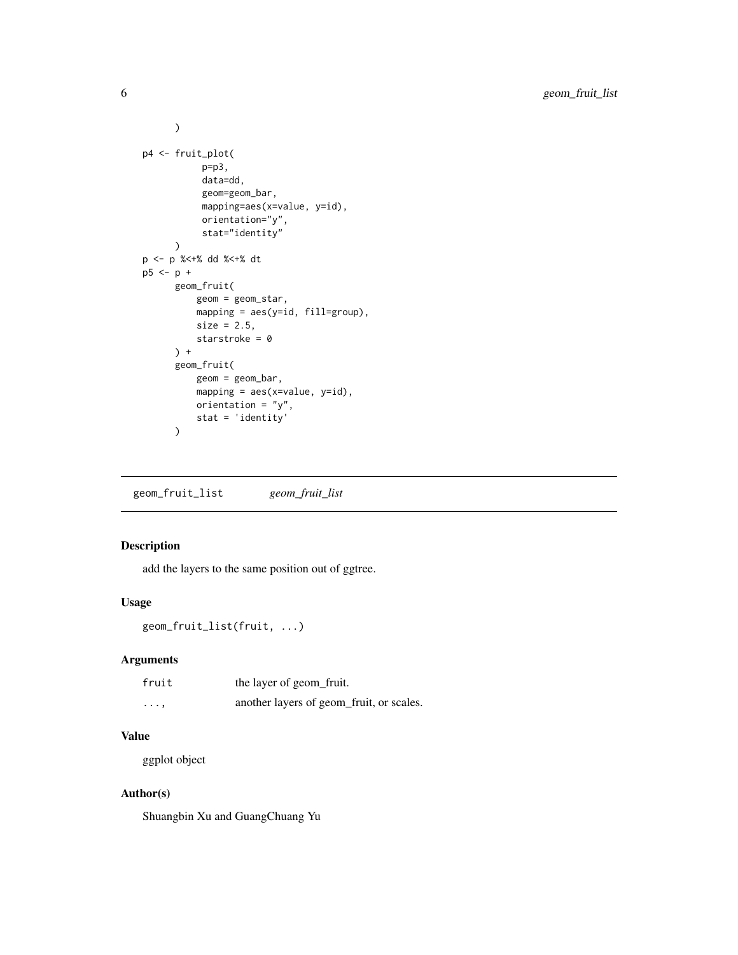```
\overline{\phantom{a}}p4 <- fruit_plot(
           p=p3,
            data=dd,
            geom=geom_bar,
            mapping=aes(x=value, y=id),
            orientation="y",
            stat="identity"
      \mathcal{L}p <- p %<+% dd %<+% dt
p5 <- p +
      geom_fruit(
          geom = geom_star,
          mapping = aes(y=id, fill=group),
          size = 2.5,
          starstroke = 0
      ) +
      geom_fruit(
          geom = geom_bar,
          mapping = aes(x=value, y=id),
          orientation = "y",stat = 'identity'
      )
```
geom\_fruit\_list *geom\_fruit\_list*

# Description

add the layers to the same position out of ggtree.

# Usage

```
geom_fruit_list(fruit, ...)
```
# Arguments

| fruit    | the layer of geom fruit.                 |
|----------|------------------------------------------|
| $\cdots$ | another layers of geom_fruit, or scales. |

# Value

ggplot object

# Author(s)

Shuangbin Xu and GuangChuang Yu

<span id="page-5-0"></span>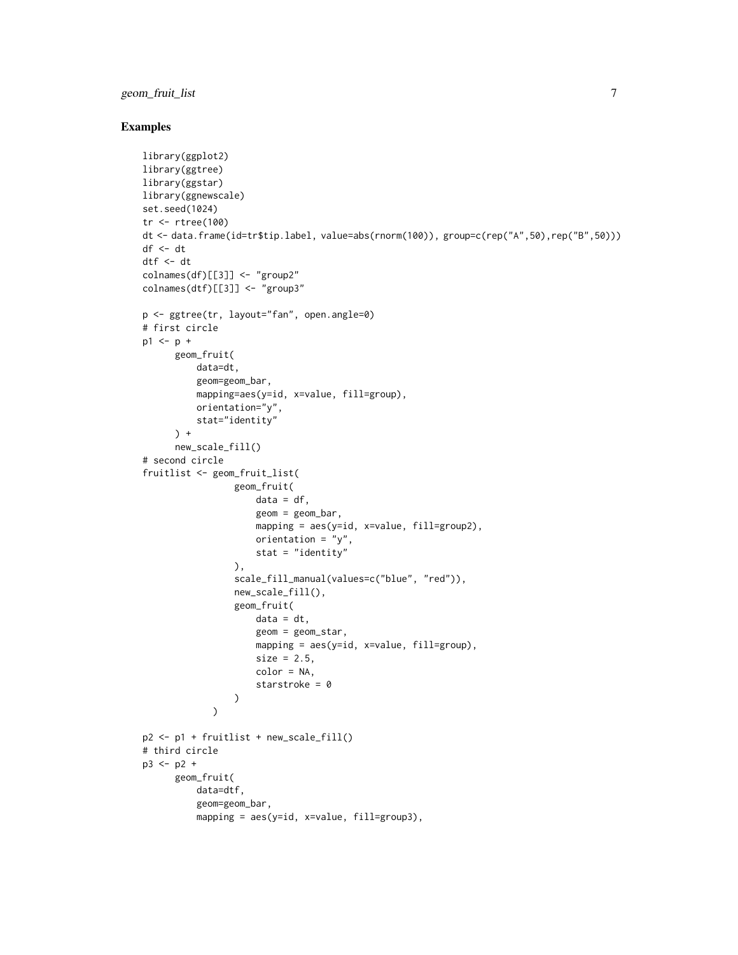# geom\_fruit\_list 7

#### Examples

```
library(ggplot2)
library(ggtree)
library(ggstar)
library(ggnewscale)
set.seed(1024)
tr <- rtree(100)
dt <- data.frame(id=tr$tip.label, value=abs(rnorm(100)), group=c(rep("A",50),rep("B",50)))
df \leftarrow dtdtf <- dt
colnames(df)[[3]] <- "group2"
colnames(dtf)[[3]] <- "group3"
p <- ggtree(tr, layout="fan", open.angle=0)
# first circle
p1 \le p +geom_fruit(
          data=dt,
          geom=geom_bar,
          mapping=aes(y=id, x=value, fill=group),
          orientation="y",
          stat="identity"
      ) +new_scale_fill()
# second circle
fruitlist <- geom_fruit_list(
                 geom_fruit(
                     data = df,
                      geom = geom_bar,
                     mapping = aes(y=id, x=value, fill=group2),
                     orientation = "y",
                     stat = "identity"
                 ),
                 scale_fill_manual(values=c("blue", "red")),
                 new_scale_fill(),
                 geom_fruit(
                     data = dt,
                     geom = geom_star,
                     mapping = aes(y=id, x=value, fill=group),
                     size = 2.5,
                     color = NA,
                      starstroke = 0
                 )
             \lambdap2 <- p1 + fruitlist + new_scale_fill()
# third circle
p3 <- p2 +
      geom_fruit(
          data=dtf,
          geom=geom_bar,
          mapping = aes(y=id, x=value, fill=group3),
```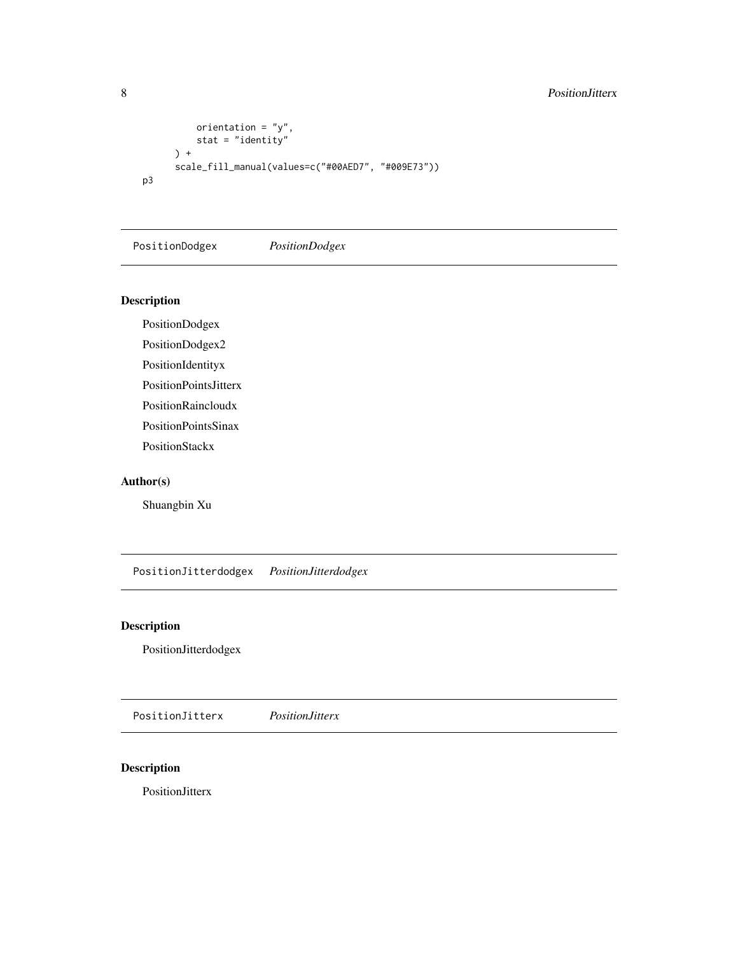# <span id="page-7-0"></span>8 Position Jitterx

```
orientation = "y",
         stat = "identity"
     ) +
     scale_fill_manual(values=c("#00AED7", "#009E73"))
p3
```
PositionDodgex *PositionDodgex*

# Description

PositionDodgex

PositionDodgex2

PositionIdentityx

PositionPointsJitterx

PositionRaincloudx

PositionPointsSinax

PositionStackx

#### Author(s)

Shuangbin Xu

PositionJitterdodgex *PositionJitterdodgex*

# Description

PositionJitterdodgex

PositionJitterx *PositionJitterx*

# Description

PositionJitterx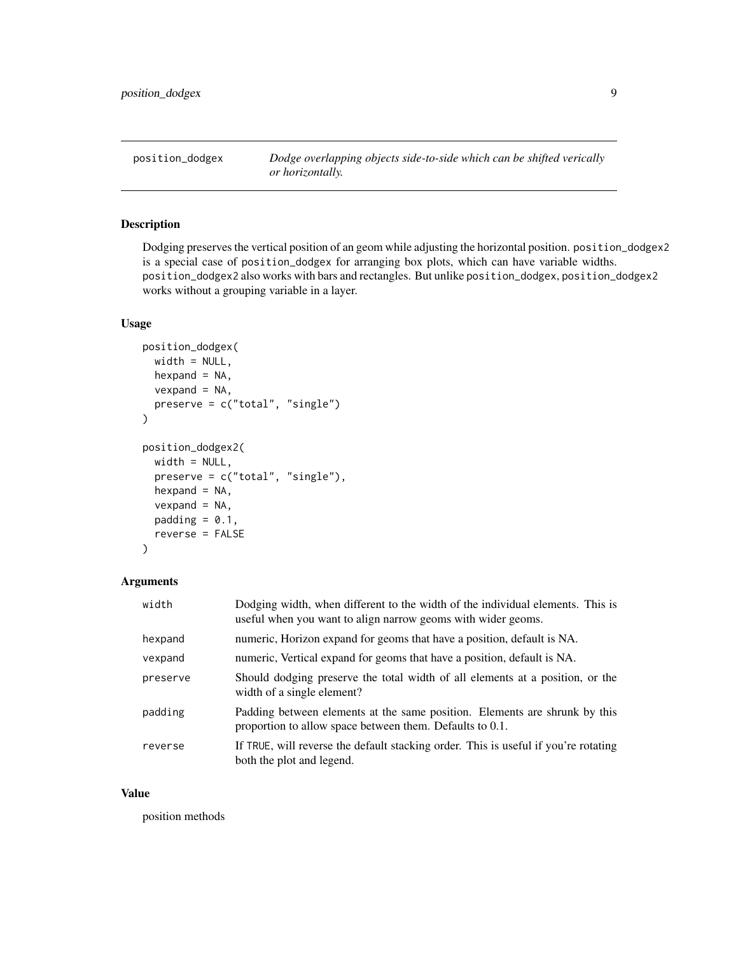<span id="page-8-1"></span><span id="page-8-0"></span>position\_dodgex *Dodge overlapping objects side-to-side which can be shifted verically or horizontally.*

#### Description

Dodging preserves the vertical position of an geom while adjusting the horizontal position. position\_dodgex2 is a special case of position\_dodgex for arranging box plots, which can have variable widths. position\_dodgex2 also works with bars and rectangles. But unlike position\_dodgex, position\_dodgex2 works without a grouping variable in a layer.

#### Usage

```
position_dodgex(
 width = NULL,
  hexpand = NA,
  vexpand = NA,
 preserve = c("total", "single")
\mathcal{L}position_dodgex2(
 width = NULL,
  preserve = c("total", "single"),
  hexpand = NA,
  vexpand = NA,
 padding = 0.1,
  reverse = FALSE
)
```
#### Arguments

| width    | Dodging width, when different to the width of the individual elements. This is<br>useful when you want to align narrow geoms with wider geoms. |
|----------|------------------------------------------------------------------------------------------------------------------------------------------------|
| hexpand  | numeric, Horizon expand for geoms that have a position, default is NA.                                                                         |
| vexpand  | numeric, Vertical expand for geoms that have a position, default is NA.                                                                        |
| preserve | Should dodging preserve the total width of all elements at a position, or the<br>width of a single element?                                    |
| padding  | Padding between elements at the same position. Elements are shrunk by this<br>proportion to allow space between them. Defaults to 0.1.         |
| reverse  | If TRUE, will reverse the default stacking order. This is useful if you're rotating<br>both the plot and legend.                               |

#### Value

position methods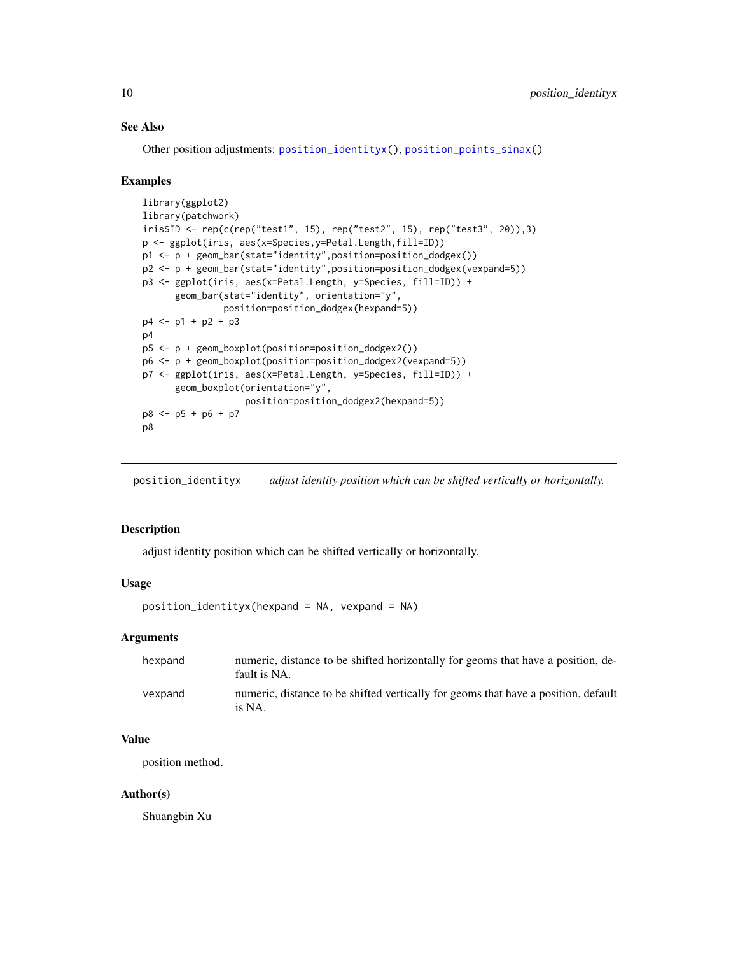#### <span id="page-9-0"></span>See Also

Other position adjustments: [position\\_identityx\(](#page-9-1)), [position\\_points\\_sinax\(](#page-13-1))

#### Examples

```
library(ggplot2)
library(patchwork)
iris$ID <- rep(c(rep("test1", 15), rep("test2", 15), rep("test3", 20)),3)
p <- ggplot(iris, aes(x=Species,y=Petal.Length,fill=ID))
p1 <- p + geom_bar(stat="identity",position=position_dodgex())
p2 <- p + geom_bar(stat="identity",position=position_dodgex(vexpand=5))
p3 <- ggplot(iris, aes(x=Petal.Length, y=Species, fill=ID)) +
      geom_bar(stat="identity", orientation="y",
               position=position_dodgex(hexpand=5))
p4 <- p1 + p2 + p3
p4
p5 <- p + geom_boxplot(position=position_dodgex2())
p6 <- p + geom_boxplot(position=position_dodgex2(vexpand=5))
p7 <- ggplot(iris, aes(x=Petal.Length, y=Species, fill=ID)) +
      geom_boxplot(orientation="y",
                   position=position_dodgex2(hexpand=5))
p8 <- p5 + p6 + p7
p8
```
<span id="page-9-1"></span>position\_identityx *adjust identity position which can be shifted vertically or horizontally.*

#### Description

adjust identity position which can be shifted vertically or horizontally.

#### Usage

```
position_identityx(hexpand = NA, vexpand = NA)
```
#### Arguments

| hexpand | numeric, distance to be shifted horizontally for geoms that have a position, de-<br>fault is NA. |
|---------|--------------------------------------------------------------------------------------------------|
| vexpand | numeric, distance to be shifted vertically for geoms that have a position, default<br>is NA.     |

# Value

position method.

#### Author(s)

Shuangbin Xu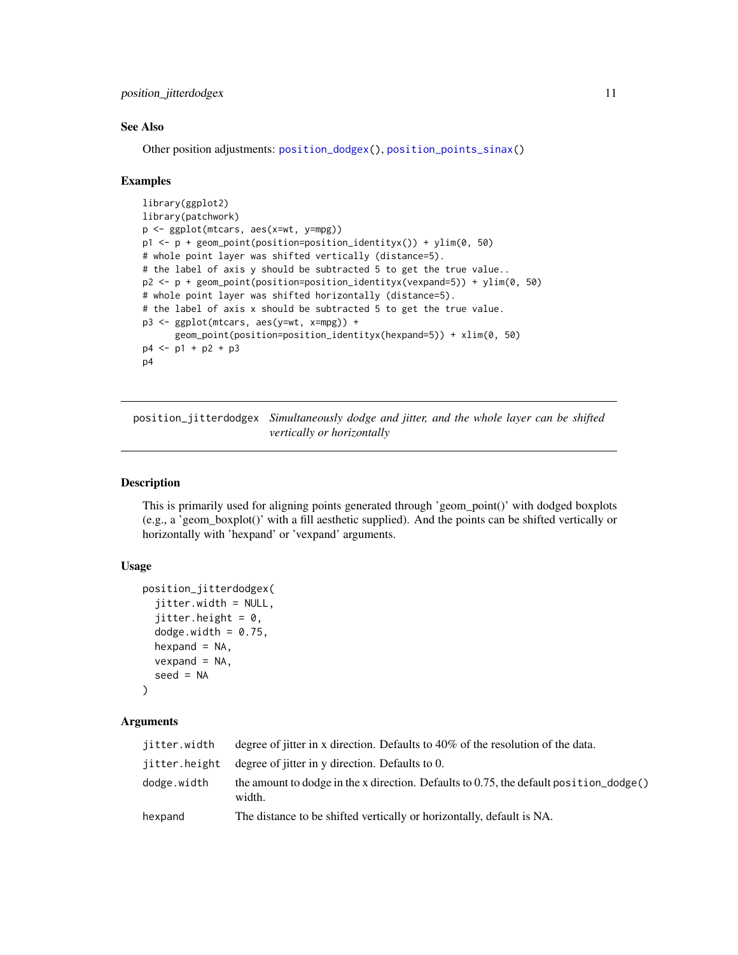<span id="page-10-0"></span>position\_jitterdodgex 11

#### See Also

Other position adjustments: [position\\_dodgex\(](#page-8-1)), [position\\_points\\_sinax\(](#page-13-1))

#### Examples

```
library(ggplot2)
library(patchwork)
p <- ggplot(mtcars, aes(x=wt, y=mpg))
p1 \leq p + \text{geom\_point}(position = position\_identity(x)) + \text{ylim}(\theta, 5\theta)# whole point layer was shifted vertically (distance=5).
# the label of axis y should be subtracted 5 to get the true value..
p2 <- p + geom_point(position=position_identityx(vexpand=5)) + ylim(0, 50)
# whole point layer was shifted horizontally (distance=5).
# the label of axis x should be subtracted 5 to get the true value.
p3 <- ggplot(mtcars, aes(y=wt, x=mpg)) +
      geom_point(position=position_identityx(hexpand=5)) + xlim(0, 50)
p4 <- p1 + p2 + p3
p4
```
position\_jitterdodgex *Simultaneously dodge and jitter, and the whole layer can be shifted vertically or horizontally*

#### Description

This is primarily used for aligning points generated through 'geom\_point()' with dodged boxplots (e.g., a 'geom\_boxplot()' with a fill aesthetic supplied). And the points can be shifted vertically or horizontally with 'hexpand' or 'vexpand' arguments.

#### Usage

```
position_jitterdodgex(
  jitter.width = NULL,
  jitter.height = 0,
  dodge.width = 0.75,
  hexpand = NA,
  vexpand = NA,
  seed = NA
)
```
#### Arguments

| degree of jitter in x direction. Defaults to $40\%$ of the resolution of the data.                        |
|-----------------------------------------------------------------------------------------------------------|
| degree of jitter in y direction. Defaults to 0.                                                           |
| the amount to dodge in the x direction. Defaults to 0.75, the default position $\Delta$ dodge()<br>width. |
| The distance to be shifted vertically or horizontally, default is NA.                                     |
|                                                                                                           |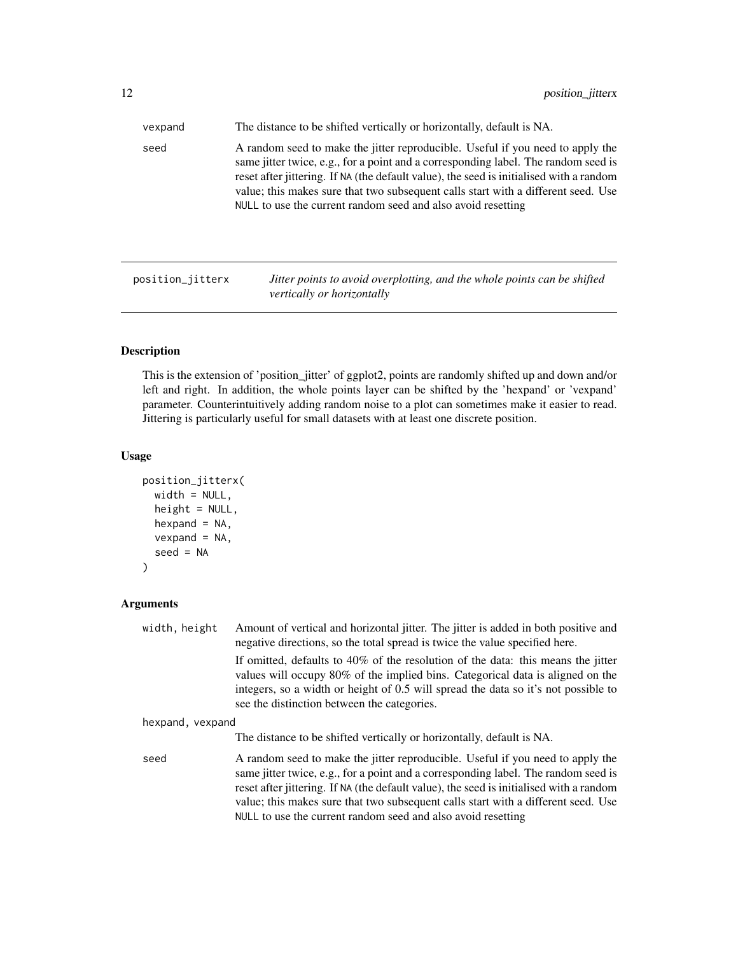<span id="page-11-0"></span>

| vexpand | The distance to be shifted vertically or horizontally, default is NA.                                                                                                                                                                                                                                                                                                                                                |  |
|---------|----------------------------------------------------------------------------------------------------------------------------------------------------------------------------------------------------------------------------------------------------------------------------------------------------------------------------------------------------------------------------------------------------------------------|--|
| seed    | A random seed to make the jitter reproducible. Useful if you need to apply the<br>same jitter twice, e.g., for a point and a corresponding label. The random seed is<br>reset after jittering. If NA (the default value), the seed is initialised with a random<br>value; this makes sure that two subsequent calls start with a different seed. Use<br>NULL to use the current random seed and also avoid resetting |  |
|         |                                                                                                                                                                                                                                                                                                                                                                                                                      |  |

position\_jitterx *Jitter points to avoid overplotting, and the whole points can be shifted vertically or horizontally*

# Description

This is the extension of 'position\_jitter' of ggplot2, points are randomly shifted up and down and/or left and right. In addition, the whole points layer can be shifted by the 'hexpand' or 'vexpand' parameter. Counterintuitively adding random noise to a plot can sometimes make it easier to read. Jittering is particularly useful for small datasets with at least one discrete position.

#### Usage

```
position_jitterx(
 width = NULL,height = NULL,hexpand = NA,
 vexpand = NA,
  seed = NA
)
```
# Arguments

| width, height    | Amount of vertical and horizontal jitter. The jitter is added in both positive and<br>negative directions, so the total spread is twice the value specified here.                                                                                                                                                                                                                                                    |  |
|------------------|----------------------------------------------------------------------------------------------------------------------------------------------------------------------------------------------------------------------------------------------------------------------------------------------------------------------------------------------------------------------------------------------------------------------|--|
|                  | If omitted, defaults to $40\%$ of the resolution of the data: this means the jitter<br>values will occupy 80% of the implied bins. Categorical data is aligned on the<br>integers, so a width or height of 0.5 will spread the data so it's not possible to<br>see the distinction between the categories.                                                                                                           |  |
| hexpand, vexpand |                                                                                                                                                                                                                                                                                                                                                                                                                      |  |
|                  | The distance to be shifted vertically or horizontally, default is NA.                                                                                                                                                                                                                                                                                                                                                |  |
| seed             | A random seed to make the jitter reproducible. Useful if you need to apply the<br>same jitter twice, e.g., for a point and a corresponding label. The random seed is<br>reset after jittering. If NA (the default value), the seed is initialised with a random<br>value; this makes sure that two subsequent calls start with a different seed. Use<br>NULL to use the current random seed and also avoid resetting |  |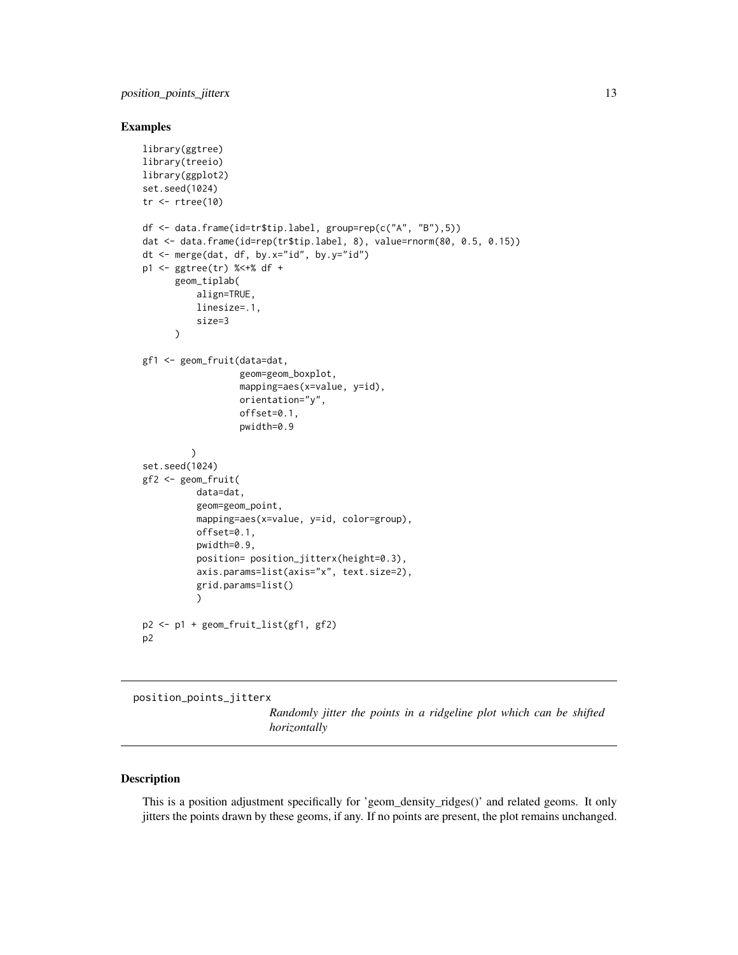#### <span id="page-12-0"></span>Examples

```
library(ggtree)
library(treeio)
library(ggplot2)
set.seed(1024)
tr < -rtree(10)df <- data.frame(id=tr$tip.label, group=rep(c("A", "B"),5))
dat <- data.frame(id=rep(tr$tip.label, 8), value=rnorm(80, 0.5, 0.15))
dt <- merge(dat, df, by.x="id", by.y="id")
p1 <- ggtree(tr) %<+% df +
      geom_tiplab(
          align=TRUE,
          linesize=.1,
          size=3
      )
gf1 <- geom_fruit(data=dat,
                  geom=geom_boxplot,
                  mapping=aes(x=value, y=id),
                  orientation="y",
                  offset=0.1,
                  pwidth=0.9
         )
set.seed(1024)
gf2 <- geom_fruit(
          data=dat,
          geom=geom_point,
          mapping=aes(x=value, y=id, color=group),
          offset=0.1,
          pwidth=0.9,
          position= position_jitterx(height=0.3),
          axis.params=list(axis="x", text.size=2),
          grid.params=list()
          )
p2 <- p1 + geom_fruit_list(gf1, gf2)
p2
```
<span id="page-12-1"></span>position\_points\_jitterx

*Randomly jitter the points in a ridgeline plot which can be shifted horizontally*

#### Description

This is a position adjustment specifically for 'geom\_density\_ridges()' and related geoms. It only jitters the points drawn by these geoms, if any. If no points are present, the plot remains unchanged.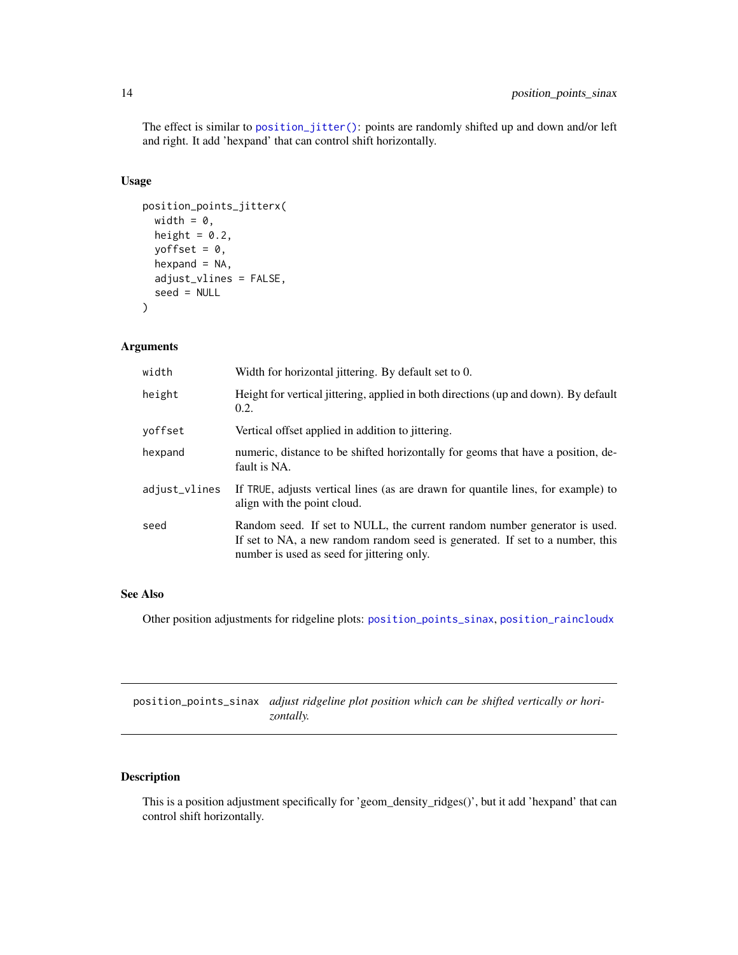<span id="page-13-0"></span>The effect is similar to [position\\_jitter\(\)](#page-0-0): points are randomly shifted up and down and/or left and right. It add 'hexpand' that can control shift horizontally.

#### Usage

```
position_points_jitterx(
  width = \theta,
  height = 0.2,
 yoffset = 0,
  hexpand = NA,
  adjust_vlines = FALSE,
  seed = NULL
)
```
#### Arguments

| width         | Width for horizontal jittering. By default set to 0.                                                                                                                                                     |
|---------------|----------------------------------------------------------------------------------------------------------------------------------------------------------------------------------------------------------|
| height        | Height for vertical jittering, applied in both directions (up and down). By default<br>0.2.                                                                                                              |
| voffset       | Vertical offset applied in addition to jittering.                                                                                                                                                        |
| hexpand       | numeric, distance to be shifted horizontally for geoms that have a position, de-<br>fault is NA.                                                                                                         |
| adjust_vlines | If TRUE, adjusts vertical lines (as are drawn for quantile lines, for example) to<br>align with the point cloud.                                                                                         |
| seed          | Random seed. If set to NULL, the current random number generator is used.<br>If set to NA, a new random random seed is generated. If set to a number, this<br>number is used as seed for jittering only. |

### See Also

Other position adjustments for ridgeline plots: [position\\_points\\_sinax](#page-13-1), [position\\_raincloudx](#page-14-1)

<span id="page-13-1"></span>position\_points\_sinax *adjust ridgeline plot position which can be shifted vertically or horizontally.*

# Description

This is a position adjustment specifically for 'geom\_density\_ridges()', but it add 'hexpand' that can control shift horizontally.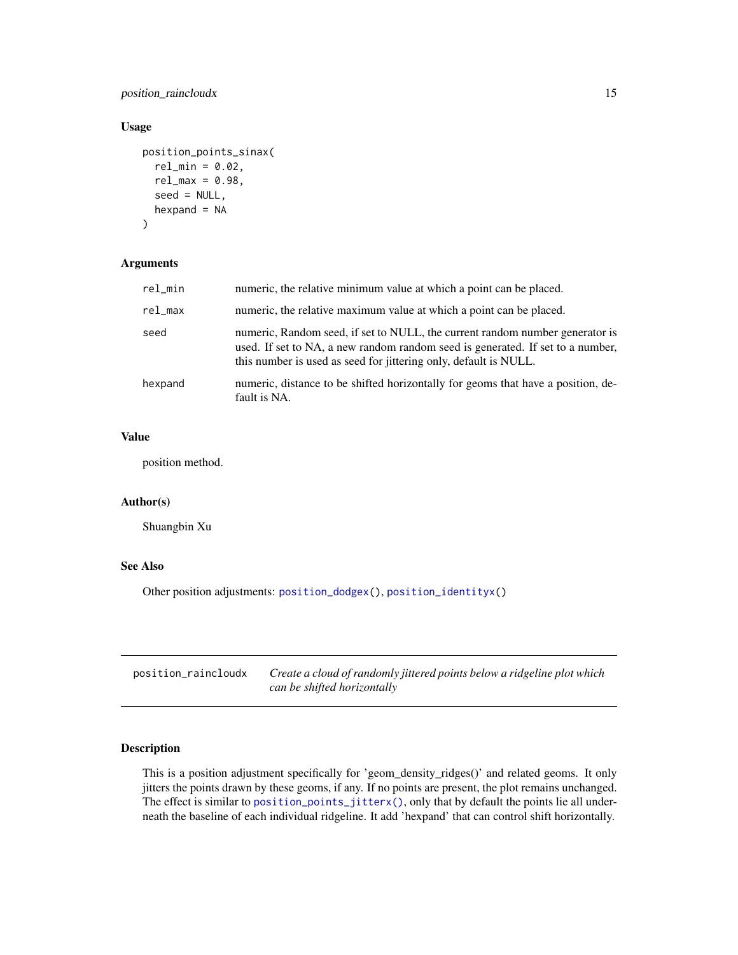<span id="page-14-0"></span>position\_raincloudx 15

#### Usage

```
position_points_sinax(
  rel\_min = 0.02,
  rel\_max = 0.98,
  seed = NULL,
 hexpand = NA)
```
#### Arguments

| rel_min    | numeric, the relative minimum value at which a point can be placed.                                                                                                                                                                |
|------------|------------------------------------------------------------------------------------------------------------------------------------------------------------------------------------------------------------------------------------|
| $rel\_max$ | numeric, the relative maximum value at which a point can be placed.                                                                                                                                                                |
| seed       | numeric, Random seed, if set to NULL, the current random number generator is<br>used. If set to NA, a new random random seed is generated. If set to a number,<br>this number is used as seed for jittering only, default is NULL. |
| hexpand    | numeric, distance to be shifted horizontally for geoms that have a position, de-<br>fault is NA.                                                                                                                                   |

# Value

position method.

#### Author(s)

Shuangbin Xu

#### See Also

Other position adjustments: [position\\_dodgex\(](#page-8-1)), [position\\_identityx\(](#page-9-1))

<span id="page-14-1"></span>

| position_raincloudx | Create a cloud of randomly jittered points below a ridgeline plot which |
|---------------------|-------------------------------------------------------------------------|
|                     | can be shifted horizontally                                             |

# Description

This is a position adjustment specifically for 'geom\_density\_ridges()' and related geoms. It only jitters the points drawn by these geoms, if any. If no points are present, the plot remains unchanged. The effect is similar to [position\\_points\\_jitterx\(\)](#page-12-1), only that by default the points lie all underneath the baseline of each individual ridgeline. It add 'hexpand' that can control shift horizontally.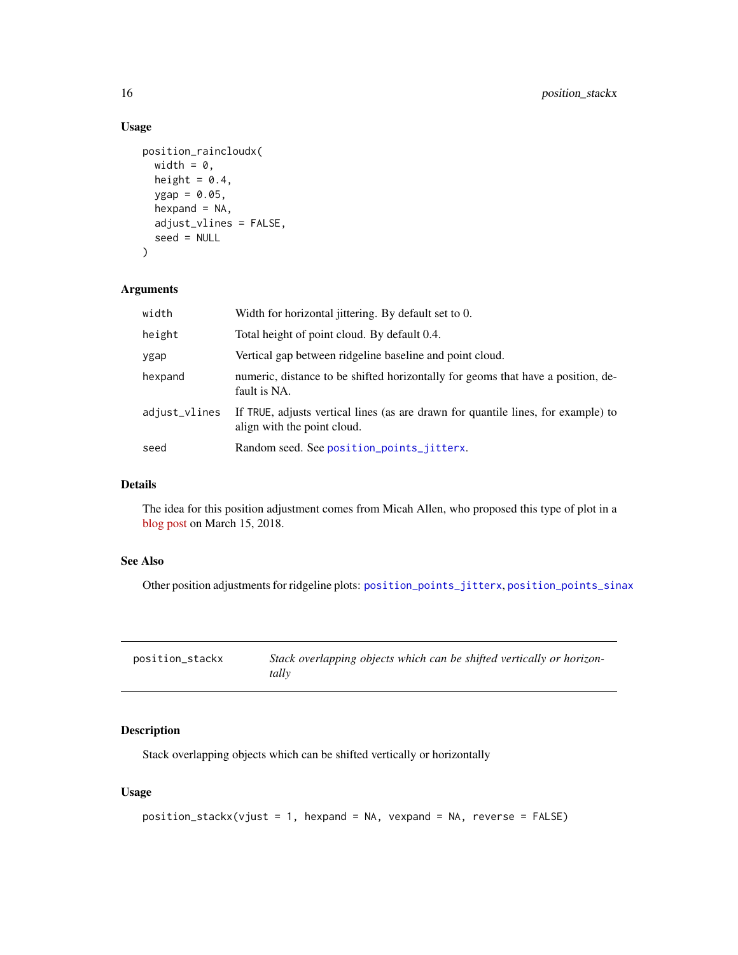# Usage

```
position_raincloudx(
  width = \theta,
  height = 0.4,
  ygap = 0.05,
  hexpand = NA,
  adjust_vlines = FALSE,
  seed = NULL
\mathcal{L}
```
#### Arguments

| width         | Width for horizontal jittering. By default set to 0.                                                             |
|---------------|------------------------------------------------------------------------------------------------------------------|
| height        | Total height of point cloud. By default 0.4.                                                                     |
| ygap          | Vertical gap between ridgeline baseline and point cloud.                                                         |
| hexpand       | numeric, distance to be shifted horizontally for geoms that have a position, de-<br>fault is NA.                 |
| adjust_vlines | If TRUE, adjusts vertical lines (as are drawn for quantile lines, for example) to<br>align with the point cloud. |
| seed          | Random seed. See position_points_jitterx.                                                                        |

# Details

The idea for this position adjustment comes from Micah Allen, who proposed this type of plot in a [blog post](https://micahallen.org/2018/03/15/introducing-raincloud-plots/) on March 15, 2018.

#### See Also

Other position adjustments for ridgeline plots: [position\\_points\\_jitterx](#page-12-1), [position\\_points\\_sinax](#page-13-1)

| position_stackx | Stack overlapping objects which can be shifted vertically or horizon- |
|-----------------|-----------------------------------------------------------------------|
|                 | tally                                                                 |

### Description

Stack overlapping objects which can be shifted vertically or horizontally

### Usage

```
position_stackx(vjust = 1, hexpand = NA, vexpand = NA, reverse = FALSE)
```
<span id="page-15-0"></span>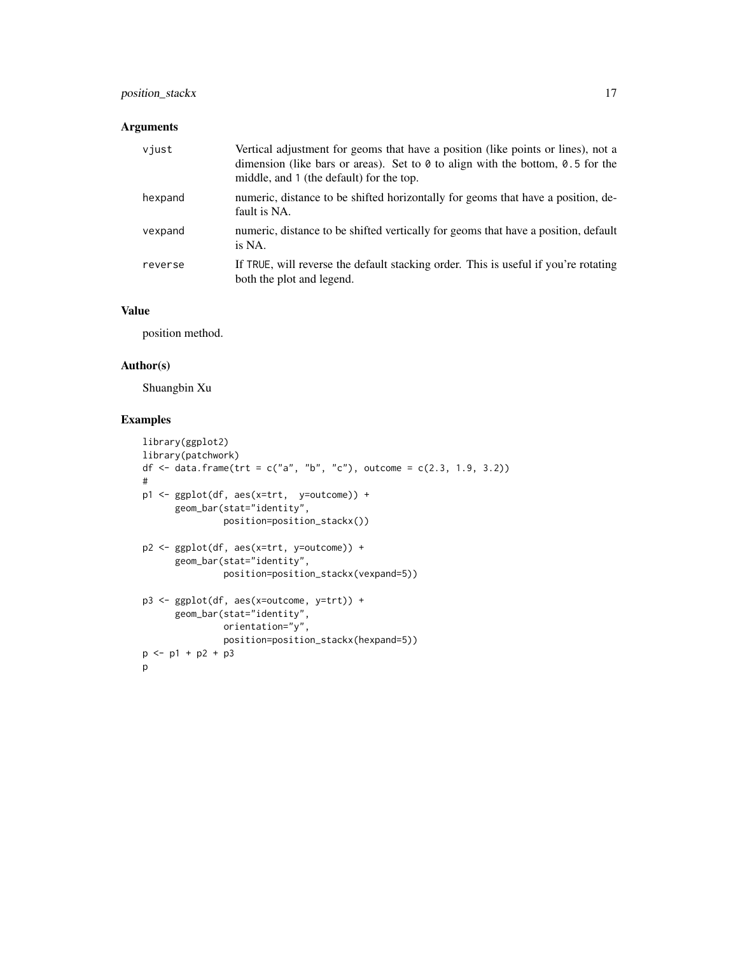# position\_stackx 17

### Arguments

| viust   | Vertical adjustment for geoms that have a position (like points or lines), not a<br>dimension (like bars or areas). Set to $\theta$ to align with the bottom, $\theta$ . 5 for the<br>middle, and 1 (the default) for the top. |
|---------|--------------------------------------------------------------------------------------------------------------------------------------------------------------------------------------------------------------------------------|
| hexpand | numeric, distance to be shifted horizontally for geoms that have a position, de-<br>fault is NA.                                                                                                                               |
| vexpand | numeric, distance to be shifted vertically for geoms that have a position, default<br>is NA.                                                                                                                                   |
| reverse | If TRUE, will reverse the default stacking order. This is useful if you're rotating<br>both the plot and legend.                                                                                                               |

#### Value

position method.

### Author(s)

Shuangbin Xu

#### Examples

```
library(ggplot2)
library(patchwork)
df <- data.frame(trt = c("a", "b", "c"), outcome = c(2.3, 1.9, 3.2))
#
p1 <- ggplot(df, aes(x=trt, y=outcome)) +
      geom_bar(stat="identity",
              position=position_stackx())
p2 <- ggplot(df, aes(x=trt, y=outcome)) +
      geom_bar(stat="identity",
              position=position_stackx(vexpand=5))
p3 <- ggplot(df, aes(x=outcome, y=trt)) +
      geom_bar(stat="identity",
              orientation="y",
               position=position_stackx(hexpand=5))
p <- p1 + p2 + p3
p
```